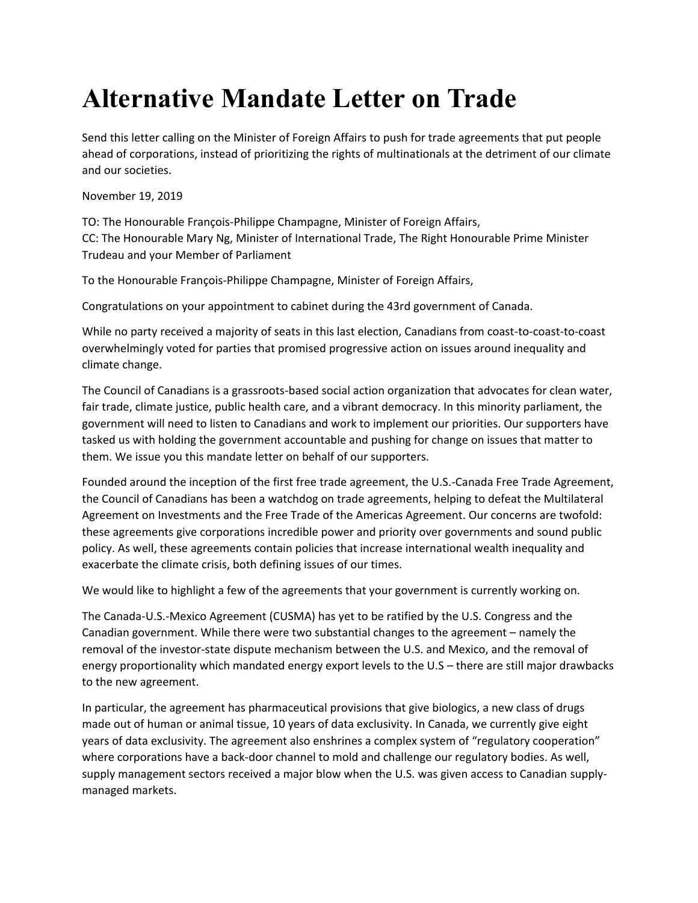## **Alternative Mandate Letter on Trade**

Send this letter calling on the Minister of Foreign Affairs to push for trade agreements that put people ahead of corporations, instead of prioritizing the rights of multinationals at the detriment of our climate and our societies.

## November 19, 2019

TO: The Honourable François-Philippe Champagne, Minister of Foreign Affairs, CC: The Honourable Mary Ng, Minister of International Trade, The Right Honourable Prime Minister Trudeau and your Member of Parliament

To the Honourable François-Philippe Champagne, Minister of Foreign Affairs,

Congratulations on your appointment to cabinet during the 43rd government of Canada.

While no party received a majority of seats in this last election, Canadians from coast-to-coast-to-coast overwhelmingly voted for parties that promised progressive action on issues around inequality and climate change.

The Council of Canadians is a grassroots-based social action organization that advocates for clean water, fair trade, climate justice, public health care, and a vibrant democracy. In this minority parliament, the government will need to listen to Canadians and work to implement our priorities. Our supporters have tasked us with holding the government accountable and pushing for change on issues that matter to them. We issue you this mandate letter on behalf of our supporters.

Founded around the inception of the first free trade agreement, the U.S.-Canada Free Trade Agreement, the Council of Canadians has been a watchdog on trade agreements, helping to defeat the Multilateral Agreement on Investments and the Free Trade of the Americas Agreement. Our concerns are twofold: these agreements give corporations incredible power and priority over governments and sound public policy. As well, these agreements contain policies that increase international wealth inequality and exacerbate the climate crisis, both defining issues of our times.

We would like to highlight a few of the agreements that your government is currently working on.

The Canada-U.S.-Mexico Agreement (CUSMA) has yet to be ratified by the U.S. Congress and the Canadian government. While there were two substantial changes to the agreement – namely the removal of the investor-state dispute mechanism between the U.S. and Mexico, and the removal of energy proportionality which mandated energy export levels to the U.S – there are still major drawbacks to the new agreement.

In particular, the agreement has pharmaceutical provisions that give biologics, a new class of drugs made out of human or animal tissue, 10 years of data exclusivity. In Canada, we currently give eight years of data exclusivity. The agreement also enshrines a complex system of "regulatory cooperation" where corporations have a back-door channel to mold and challenge our regulatory bodies. As well, supply management sectors received a major blow when the U.S. was given access to Canadian supplymanaged markets.